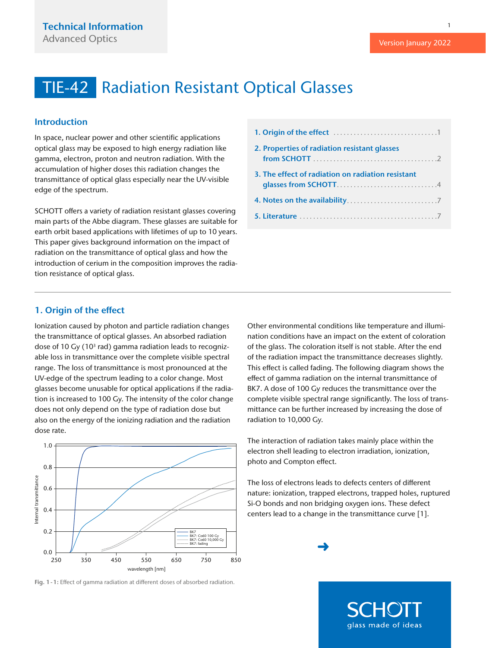#### <span id="page-0-0"></span>Introduction

In space, nuclear power and other scientific applications optical glass may be exposed to high energy radiation like gamma, electron, proton and neutron radiation. With the accumulation of higher doses this radiation changes the transmittance of optical glass especially near the UV-visible edge of the spectrum.

SCHOTT offers a variety of radiation resistant glasses covering main parts of the Abbe diagram. These glasses are suitable for earth orbit based applications with lifetimes of up to 10 years. This paper gives background information on the impact of radiation on the transmittance of optical glass and how the introduction of cerium in the composition improves the radiation resistance of optical glass.

| 2. Properties of radiation resistant glasses      |
|---------------------------------------------------|
| 3. The effect of radiation on radiation resistant |
|                                                   |
|                                                   |

#### 1. Origin of the effect

Ionization caused by photon and particle radiation changes the transmittance of optical glasses. An absorbed radiation dose of 10 Gy (10 $3$  rad) gamma radiation leads to recognizable loss in transmittance over the complete visible spectral range. The loss of transmittance is most pronounced at the UV-edge of the spectrum leading to a color change. Most glasses become unusable for optical applications if the radiation is increased to 100 Gy. The intensity of the color change does not only depend on the type of radiation dose but also on the energy of the ionizing radiation and the radiation dose rate.



Fig. 1-1: Effect of gamma radiation at different doses of absorbed radiation.

Other environmental conditions like temperature and illumination conditions have an impact on the extent of coloration of the glass. The coloration itself is not stable. After the end of the radiation impact the transmittance decreases slightly. This effect is called fading. The following diagram shows the effect of gamma radiation on the internal transmittance of BK7. A dose of 100 Gy reduces the transmittance over the complete visible spectral range significantly. The loss of transmittance can be further increased by increasing the dose of radiation to 10,000 Gy.

The interaction of radiation takes mainly place within the electron shell leading to electron irradiation, ionization, photo and Compton effect.

The loss of electrons leads to defects centers of different nature: ionization, trapped electrons, trapped holes, ruptured Si-O bonds and non bridging oxygen ions. These defect centers lead to a change in the transmittance curve [1].





Version January 2022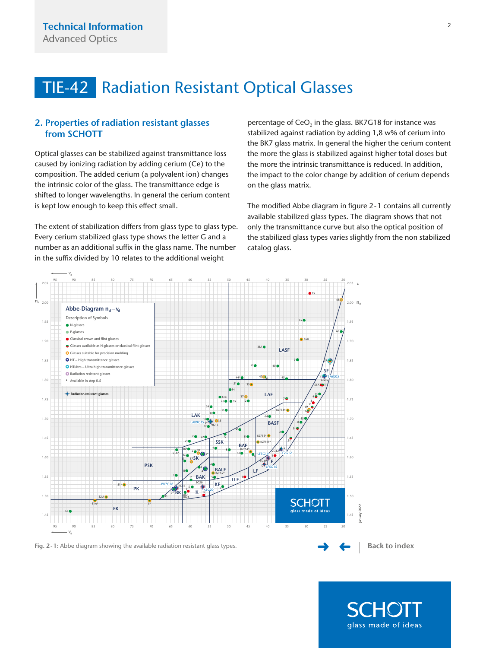### <span id="page-1-0"></span>2. Properties of radiation resistant glasses from SCHOTT

Optical glasses can be stabilized against transmittance loss caused by ionizing radiation by adding cerium (Ce) to the composition. The added cerium (a polyvalent ion) changes the intrinsic color of the glass. The transmittance edge is shifted to longer wavelengths. In general the cerium content is kept low enough to keep this effect small.

The extent of stabilization differs from glass type to glass type. Every cerium stabilized glass type shows the letter G and a number as an additional suffix in the glass name. The number in the suffix divided by 10 relates to the additional weight

percentage of CeO<sub>2</sub> in the glass. BK7G18 for instance was stabilized against radiation by adding 1,8 w% of cerium into the BK7 glass matrix. In general the higher the cerium content the more the glass is stabilized against higher total doses but the more the intrinsic transmittance is reduced. In addition, the impact to the color change by addition of cerium depends on the glass matrix.

The modified Abbe diagram in figure 2-1 contains all currently available stabilized glass types. The diagram shows that not only the transmittance curve but also the optical position of the stabilized glass types varies slightly from the non stabilized catalog glass.



glass made of ideas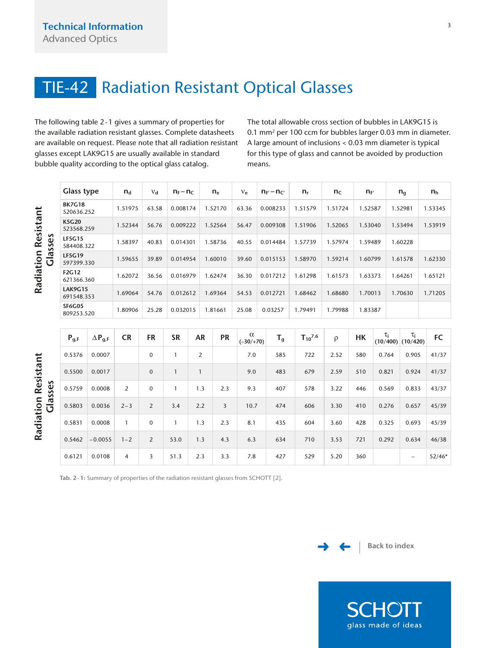<span id="page-2-0"></span>The following table 2-1 gives a summary of properties for the available radiation resistant glasses. Complete datasheets are available on request. Please note that all radiation resistant glasses except LAK9G15 are usually available in standard bubble quality according to the optical glass catalog.

The total allowable cross section of bubbles in LAK9G15 is 0.1 mm2 per 100 ccm for bubbles larger 0.03 mm in diameter. A large amount of inclusions < 0.03 mm diameter is typical for this type of glass and cannot be avoided by production means.

371277\_PC\_Des+Prop-2018\_ROW.indd 139 08.12.17 11:16

Tab. 2-1: Summary of properties of the radiation resistant glasses from SCHOTT [2].





glass made of ideas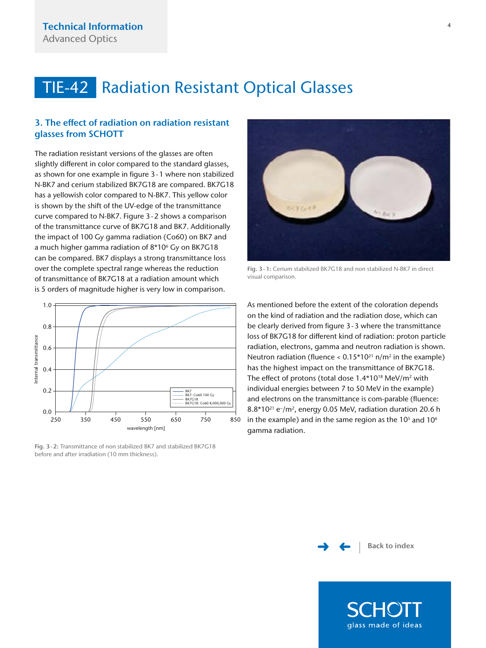### <span id="page-3-0"></span>3. The effect of radiation on radiation resistant glasses from SCHOTT

The radiation resistant versions of the glasses are often slightly different in color compared to the standard glasses, as shown for one example in figure 3-1 where non stabilized N-BK7 and cerium stabilized BK7G18 are compared. BK7G18 has a yellowish color compared to N-BK7. This yellow color is shown by the shift of the UV-edge of the transmittance curve compared to N-BK7. Figure 3-2 shows a comparison of the transmittance curve of BK7G18 and BK7. Additionally the impact of 100 Gy gamma radiation (Co60) on BK7 and a much higher gamma radiation of 8\*106 Gy on BK7G18 can be compared. BK7 displays a strong transmittance loss over the complete spectral range whereas the reduction of transmittance of BK7G18 at a radiation amount which is 5 orders of magnitude higher is very low in comparison.



Fig. 3-2: Transmittance of non stabilized BK7 and stabilized BK7G18



Fig. 3-1: Cerium stabilized BK7G18 and non stabilized N-BK7 in direct visual comparison.

As mentioned before the extent of the coloration depends on the kind of radiation and the radiation dose, which can be clearly derived from figure 3-3 where the transmittance loss of BK7G18 for different kind of radiation: proton particle radiation, electrons, gamma and neutron radiation is shown. Neutron radiation (fluence <  $0.15*10^{21}$  n/m<sup>2</sup> in the example) has the highest impact on the transmittance of BK7G18. The effect of protons (total dose 1.4\*10<sup>18</sup> MeV/m<sup>2</sup> with individual energies between 7 to 50 MeV in the example) and electrons on the transmittance is com-parable (fluence:  $8.8*10^{21}$  e<sup>-</sup>/m<sup>2</sup>, energy 0.05 MeV, radiation duration 20.6 h in the example) and in the same region as the  $10<sup>5</sup>$  and  $10<sup>6</sup>$ gamma radiation.



glass made of ideas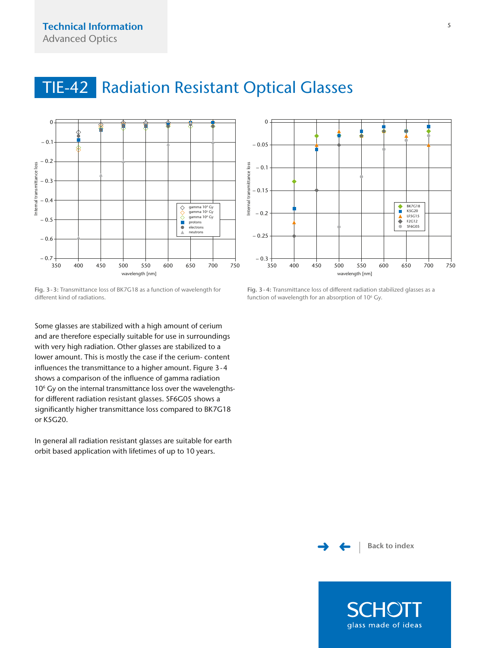

<span id="page-4-0"></span>TIE-42 Radiation Resistant Optical Glasses

Fig. 3-3: Transmittance loss of BK7G18 as a function of wavelength for different kind of radiations.

Some glasses are stabilized with a high amount of cerium and are therefore especially suitable for use in surroundings with very high radiation. Other glasses are stabilized to a lower amount. This is mostly the case if the cerium- content influences the transmittance to a higher amount. Figure 3-4 shows a comparison of the influence of gamma radiation 10<sup>6</sup> Gy on the internal transmittance loss over the wavelengthsfor different radiation resistant glasses. SF6G05 shows a significantly higher transmittance loss compared to BK7G18 or K5G20.

In general all radiation resistant glasses are suitable for earth orbit based application with lifetimes of up to 10 years.



Fig. 3-4: Transmittance loss of different radiation stabilized glasses as a function of wavelength for an absorption of 10<sup>6</sup> Gy.



glass made of ideas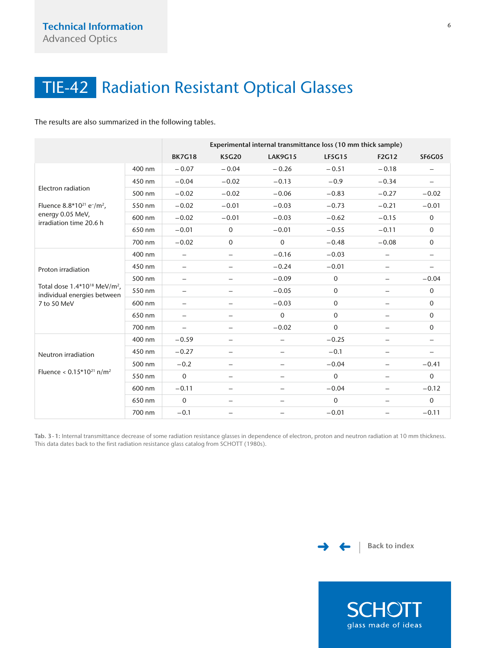<span id="page-5-0"></span>The results are also summarized in the following tables.

|                                                                                                                          |        | Experimental internal transmittance loss (10 mm thick sample) |                          |                          |               |                          |                          |  |  |
|--------------------------------------------------------------------------------------------------------------------------|--------|---------------------------------------------------------------|--------------------------|--------------------------|---------------|--------------------------|--------------------------|--|--|
|                                                                                                                          |        | <b>BK7G18</b>                                                 | <b>K5G20</b>             | <b>LAK9G15</b>           | <b>LF5G15</b> | <b>F2G12</b>             | <b>SF6G05</b>            |  |  |
| Electron radiation<br>Fluence $8.8*10^{21}$ e-/m <sup>2</sup> .<br>energy 0.05 MeV,<br>irradiation time 20.6 h           | 400 nm | $-0.07$                                                       | $-0.04$                  | $-0.26$                  | $-0.51$       | $-0.18$                  |                          |  |  |
|                                                                                                                          | 450 nm | $-0.04$                                                       | $-0.02$                  | $-0.13$                  | $-0.9$        | $-0.34$                  | $\overline{\phantom{0}}$ |  |  |
|                                                                                                                          | 500 nm | $-0.02$                                                       | $-0.02$                  | $-0.06$                  | $-0.83$       | $-0.27$                  | $-0.02$                  |  |  |
|                                                                                                                          | 550 nm | $-0.02$                                                       | $-0.01$                  | $-0.03$                  | $-0.73$       | $-0.21$                  | $-0.01$                  |  |  |
|                                                                                                                          | 600 nm | $-0.02$                                                       | $-0.01$                  | $-0.03$                  | $-0.62$       | $-0.15$                  | $\mathbf 0$              |  |  |
|                                                                                                                          | 650 nm | $-0.01$                                                       | $\mathbf 0$              | $-0.01$                  | $-0.55$       | $-0.11$                  | $\mathbf 0$              |  |  |
|                                                                                                                          | 700 nm | $-0.02$                                                       | $\mathbf 0$              | $\mathbf 0$              | $-0.48$       | $-0.08$                  | $\mathbf 0$              |  |  |
| Proton irradiation<br>Total dose 1.4*10 <sup>18</sup> MeV/m <sup>2</sup> ,<br>individual energies between<br>7 to 50 MeV | 400 nm | $\overline{\phantom{0}}$                                      | $\overline{\phantom{0}}$ | $-0.16$                  | $-0.03$       | $\overline{\phantom{0}}$ | $\overline{\phantom{0}}$ |  |  |
|                                                                                                                          | 450 nm | ÷.                                                            | $\overline{\phantom{0}}$ | $-0.24$                  | $-0.01$       |                          |                          |  |  |
|                                                                                                                          | 500 nm | $\overline{\phantom{0}}$                                      | $-$                      | $-0.09$                  | $\mathbf 0$   |                          | $-0.04$                  |  |  |
|                                                                                                                          | 550 nm | -                                                             | $\overline{\phantom{m}}$ | $-0.05$                  | $\mathbf 0$   | $\overline{\phantom{0}}$ | $\mathbf 0$              |  |  |
|                                                                                                                          | 600 nm | $\overline{\phantom{0}}$                                      | $\overline{\phantom{0}}$ | $-0.03$                  | $\mathbf 0$   | $\overline{\phantom{0}}$ | $\mathbf 0$              |  |  |
|                                                                                                                          | 650 nm | $\overline{\phantom{0}}$                                      |                          | $\Omega$                 | $\mathbf 0$   |                          | $\mathbf 0$              |  |  |
|                                                                                                                          | 700 nm | $\overline{\phantom{0}}$                                      | $\overline{\phantom{0}}$ | $-0.02$                  | $\mathbf 0$   | $\overline{\phantom{0}}$ | $\mathbf 0$              |  |  |
| Neutron irradiation<br>Fluence < $0.15*10^{21}$ n/m <sup>2</sup>                                                         | 400 nm | $-0.59$                                                       | $\overline{\phantom{0}}$ | $\overline{\phantom{0}}$ | $-0.25$       |                          | $\overline{\phantom{m}}$ |  |  |
|                                                                                                                          | 450 nm | $-0.27$                                                       |                          | $\overline{\phantom{0}}$ | $-0.1$        | $\overline{\phantom{0}}$ |                          |  |  |
|                                                                                                                          | 500 nm | $-0.2$                                                        | $\qquad \qquad -$        |                          | $-0.04$       | $\overline{\phantom{0}}$ | $-0.41$                  |  |  |
|                                                                                                                          | 550 nm | $\Omega$                                                      | $\qquad \qquad -$        |                          | $\Omega$      |                          | $\Omega$                 |  |  |
|                                                                                                                          | 600 nm | $-0.11$                                                       | $\overline{\phantom{m}}$ | $\overline{\phantom{0}}$ | $-0.04$       | $\overline{\phantom{0}}$ | $-0.12$                  |  |  |
|                                                                                                                          | 650 nm | $\mathbf 0$                                                   | $\overline{\phantom{0}}$ | $\overline{\phantom{0}}$ | $\mathbf 0$   | $\overline{\phantom{0}}$ | $\mathbf 0$              |  |  |
|                                                                                                                          | 700 nm | $-0.1$                                                        |                          |                          | $-0.01$       |                          | $-0.11$                  |  |  |

Tab. 3-1: Internal transmittance decrease of some radiation resistance glasses in dependence of electron, proton and neutron radiation at 10 mm thickness. This data dates back to the first radiation resistance glass catalog from SCHOTT (1980s).





**SCHOTT** glass made of ideas